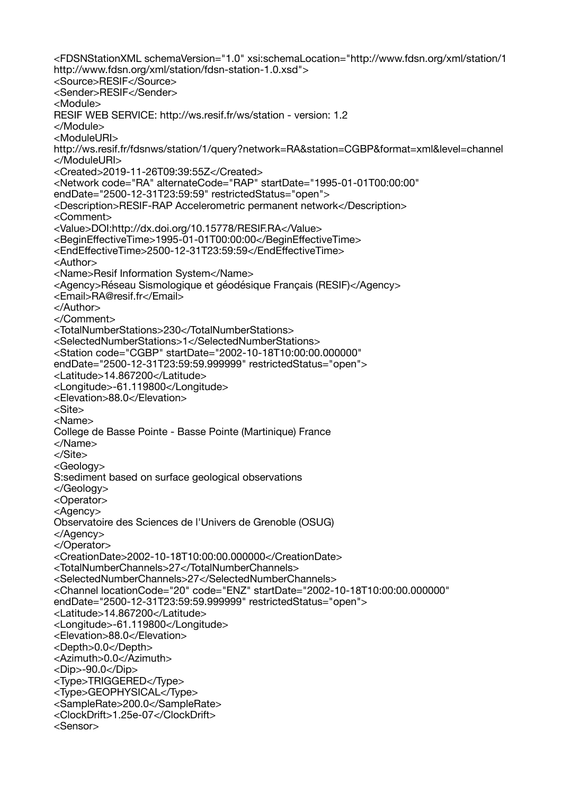<FDSNStationXML schemaVersion="1.0" xsi:schemaLocation="http://www.fdsn.org/xml/station/1 http://www.fdsn.org/xml/station/fdsn-station-1.0.xsd"> <Source>RESIF</Source> <Sender>RESIF</Sender> <Module> RESIF WEB SERVICE: http://ws.resif.fr/ws/station - version: 1.2 </Module> <ModuleURI> http://ws.resif.fr/fdsnws/station/1/query?network=RA&station=CGBP&format=xml&level=channel </ModuleURI> <Created>2019-11-26T09:39:55Z</Created> <Network code="RA" alternateCode="RAP" startDate="1995-01-01T00:00:00" endDate="2500-12-31T23:59:59" restrictedStatus="open"> <Description>RESIF-RAP Accelerometric permanent network</Description> <Comment> <Value>DOI:http://dx.doi.org/10.15778/RESIF.RA</Value> <BeginEffectiveTime>1995-01-01T00:00:00</BeginEffectiveTime> <EndEffectiveTime>2500-12-31T23:59:59</EndEffectiveTime> <Author> <Name>Resif Information System</Name> <Agency>Réseau Sismologique et géodésique Français (RESIF)</Agency> <Email>RA@resif.fr</Email> </Author> </Comment> <TotalNumberStations>230</TotalNumberStations> <SelectedNumberStations>1</SelectedNumberStations> <Station code="CGBP" startDate="2002-10-18T10:00:00.000000" endDate="2500-12-31T23:59:59.999999" restrictedStatus="open"> <Latitude>14.867200</Latitude> <Longitude>-61.119800</Longitude> <Elevation>88.0</Elevation> <Site> <Name> College de Basse Pointe - Basse Pointe (Martinique) France </Name> </Site> <Geology> S:sediment based on surface geological observations </Geology> <Operator> <Agency> Observatoire des Sciences de l'Univers de Grenoble (OSUG) </Agency> </Operator> <CreationDate>2002-10-18T10:00:00.000000</CreationDate> <TotalNumberChannels>27</TotalNumberChannels> <SelectedNumberChannels>27</SelectedNumberChannels> <Channel locationCode="20" code="ENZ" startDate="2002-10-18T10:00:00.000000" endDate="2500-12-31T23:59:59.999999" restrictedStatus="open"> <Latitude>14.867200</Latitude> <Longitude>-61.119800</Longitude> <Elevation>88.0</Elevation> <Depth>0.0</Depth> <Azimuth>0.0</Azimuth> <Dip>-90.0</Dip> <Type>TRIGGERED</Type> <Type>GEOPHYSICAL</Type> <SampleRate>200.0</SampleRate> <ClockDrift>1.25e-07</ClockDrift> <Sensor>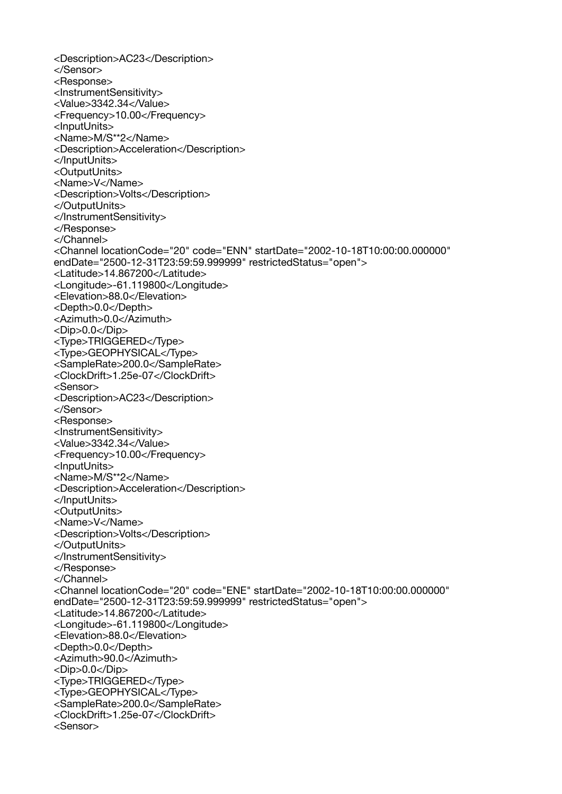<Description>AC23</Description> </Sensor> <Response> <InstrumentSensitivity> <Value>3342.34</Value> <Frequency>10.00</Frequency> <InputUnits> <Name>M/S\*\*2</Name> <Description>Acceleration</Description> </InputUnits> <OutputUnits> <Name>V</Name> <Description>Volts</Description> </OutputUnits> </InstrumentSensitivity> </Response> </Channel> <Channel locationCode="20" code="ENN" startDate="2002-10-18T10:00:00.000000" endDate="2500-12-31T23:59:59.999999" restrictedStatus="open"> <Latitude>14.867200</Latitude> <Longitude>-61.119800</Longitude> <Elevation>88.0</Elevation> <Depth>0.0</Depth> <Azimuth>0.0</Azimuth> <Dip>0.0</Dip> <Type>TRIGGERED</Type> <Type>GEOPHYSICAL</Type> <SampleRate>200.0</SampleRate> <ClockDrift>1.25e-07</ClockDrift> <Sensor> <Description>AC23</Description> </Sensor> <Response> <InstrumentSensitivity> <Value>3342.34</Value> <Frequency>10.00</Frequency> <InputUnits> <Name>M/S\*\*2</Name> <Description>Acceleration</Description> </InputUnits> <OutputUnits> <Name>V</Name> <Description>Volts</Description> </OutputUnits> </InstrumentSensitivity> </Response> </Channel> <Channel locationCode="20" code="ENE" startDate="2002-10-18T10:00:00.000000" endDate="2500-12-31T23:59:59.999999" restrictedStatus="open"> <Latitude>14.867200</Latitude> <Longitude>-61.119800</Longitude> <Elevation>88.0</Elevation> <Depth>0.0</Depth> <Azimuth>90.0</Azimuth> <Dip>0.0</Dip> <Type>TRIGGERED</Type> <Type>GEOPHYSICAL</Type> <SampleRate>200.0</SampleRate> <ClockDrift>1.25e-07</ClockDrift> <Sensor>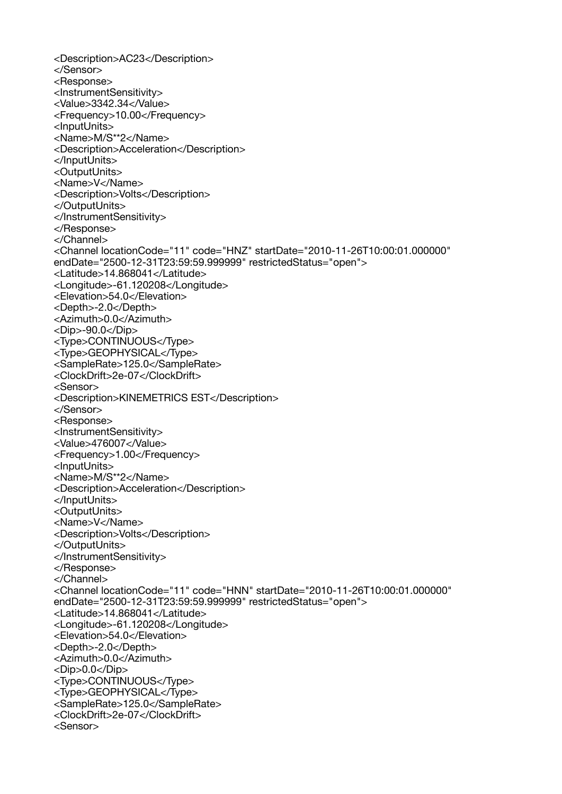<Description>AC23</Description> </Sensor> <Response> <InstrumentSensitivity> <Value>3342.34</Value> <Frequency>10.00</Frequency> <InputUnits> <Name>M/S\*\*2</Name> <Description>Acceleration</Description> </InputUnits> <OutputUnits> <Name>V</Name> <Description>Volts</Description> </OutputUnits> </InstrumentSensitivity> </Response> </Channel> <Channel locationCode="11" code="HNZ" startDate="2010-11-26T10:00:01.000000" endDate="2500-12-31T23:59:59.999999" restrictedStatus="open"> <Latitude>14.868041</Latitude> <Longitude>-61.120208</Longitude> <Elevation>54.0</Elevation> <Depth>-2.0</Depth> <Azimuth>0.0</Azimuth> <Dip>-90.0</Dip> <Type>CONTINUOUS</Type> <Type>GEOPHYSICAL</Type> <SampleRate>125.0</SampleRate> <ClockDrift>2e-07</ClockDrift> <Sensor> <Description>KINEMETRICS EST</Description> </Sensor> <Response> <InstrumentSensitivity> <Value>476007</Value> <Frequency>1.00</Frequency> <InputUnits> <Name>M/S\*\*2</Name> <Description>Acceleration</Description> </InputUnits> <OutputUnits> <Name>V</Name> <Description>Volts</Description> </OutputUnits> </InstrumentSensitivity> </Response> </Channel> <Channel locationCode="11" code="HNN" startDate="2010-11-26T10:00:01.000000" endDate="2500-12-31T23:59:59.999999" restrictedStatus="open"> <Latitude>14.868041</Latitude> <Longitude>-61.120208</Longitude> <Elevation>54.0</Elevation> <Depth>-2.0</Depth> <Azimuth>0.0</Azimuth> <Dip>0.0</Dip> <Type>CONTINUOUS</Type> <Type>GEOPHYSICAL</Type> <SampleRate>125.0</SampleRate> <ClockDrift>2e-07</ClockDrift> <Sensor>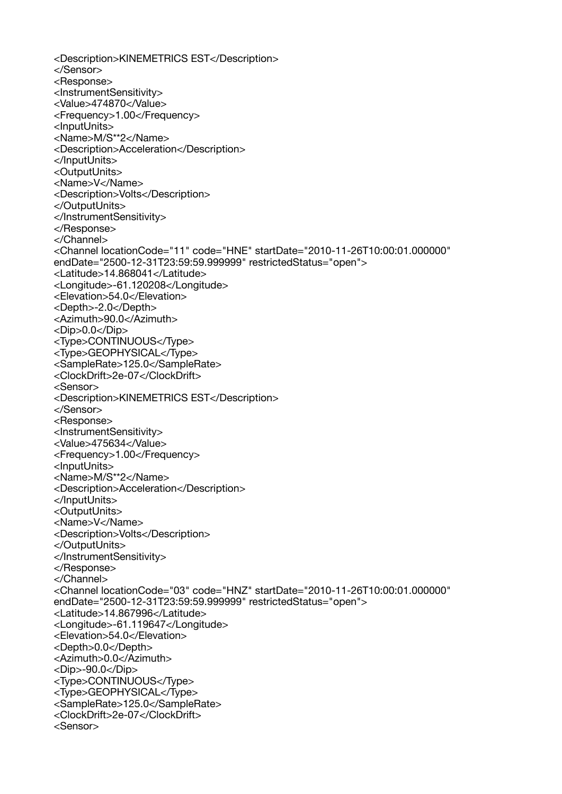<Description>KINEMETRICS EST</Description> </Sensor> <Response> <InstrumentSensitivity> <Value>474870</Value> <Frequency>1.00</Frequency> <InputUnits> <Name>M/S\*\*2</Name> <Description>Acceleration</Description> </InputUnits> <OutputUnits> <Name>V</Name> <Description>Volts</Description> </OutputUnits> </InstrumentSensitivity> </Response> </Channel> <Channel locationCode="11" code="HNE" startDate="2010-11-26T10:00:01.000000" endDate="2500-12-31T23:59:59.999999" restrictedStatus="open"> <Latitude>14.868041</Latitude> <Longitude>-61.120208</Longitude> <Elevation>54.0</Elevation> <Depth>-2.0</Depth> <Azimuth>90.0</Azimuth>  $<$ Dip $>$ 0.0 $<$ /Dip $>$ <Type>CONTINUOUS</Type> <Type>GEOPHYSICAL</Type> <SampleRate>125.0</SampleRate> <ClockDrift>2e-07</ClockDrift> <Sensor> <Description>KINEMETRICS EST</Description> </Sensor> <Response> <InstrumentSensitivity> <Value>475634</Value> <Frequency>1.00</Frequency> <InputUnits> <Name>M/S\*\*2</Name> <Description>Acceleration</Description> </InputUnits> <OutputUnits> <Name>V</Name> <Description>Volts</Description> </OutputUnits> </InstrumentSensitivity> </Response> </Channel> <Channel locationCode="03" code="HNZ" startDate="2010-11-26T10:00:01.000000" endDate="2500-12-31T23:59:59.999999" restrictedStatus="open"> <Latitude>14.867996</Latitude> <Longitude>-61.119647</Longitude> <Elevation>54.0</Elevation> <Depth>0.0</Depth> <Azimuth>0.0</Azimuth> <Dip>-90.0</Dip> <Type>CONTINUOUS</Type> <Type>GEOPHYSICAL</Type> <SampleRate>125.0</SampleRate> <ClockDrift>2e-07</ClockDrift> <Sensor>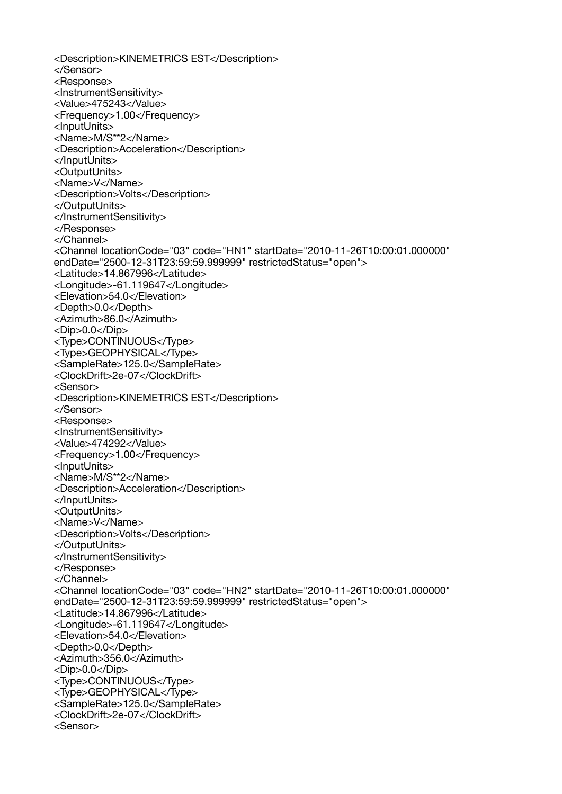<Description>KINEMETRICS EST</Description> </Sensor> <Response> <InstrumentSensitivity> <Value>475243</Value> <Frequency>1.00</Frequency> <InputUnits> <Name>M/S\*\*2</Name> <Description>Acceleration</Description> </InputUnits> <OutputUnits> <Name>V</Name> <Description>Volts</Description> </OutputUnits> </InstrumentSensitivity> </Response> </Channel> <Channel locationCode="03" code="HN1" startDate="2010-11-26T10:00:01.000000" endDate="2500-12-31T23:59:59.999999" restrictedStatus="open"> <Latitude>14.867996</Latitude> <Longitude>-61.119647</Longitude> <Elevation>54.0</Elevation> <Depth>0.0</Depth> <Azimuth>86.0</Azimuth>  $<$ Dip $>$ 0.0 $<$ /Dip $>$ <Type>CONTINUOUS</Type> <Type>GEOPHYSICAL</Type> <SampleRate>125.0</SampleRate> <ClockDrift>2e-07</ClockDrift> <Sensor> <Description>KINEMETRICS EST</Description> </Sensor> <Response> <InstrumentSensitivity> <Value>474292</Value> <Frequency>1.00</Frequency> <InputUnits> <Name>M/S\*\*2</Name> <Description>Acceleration</Description> </InputUnits> <OutputUnits> <Name>V</Name> <Description>Volts</Description> </OutputUnits> </InstrumentSensitivity> </Response> </Channel> <Channel locationCode="03" code="HN2" startDate="2010-11-26T10:00:01.000000" endDate="2500-12-31T23:59:59.999999" restrictedStatus="open"> <Latitude>14.867996</Latitude> <Longitude>-61.119647</Longitude> <Elevation>54.0</Elevation> <Depth>0.0</Depth> <Azimuth>356.0</Azimuth> <Dip>0.0</Dip> <Type>CONTINUOUS</Type> <Type>GEOPHYSICAL</Type> <SampleRate>125.0</SampleRate> <ClockDrift>2e-07</ClockDrift> <Sensor>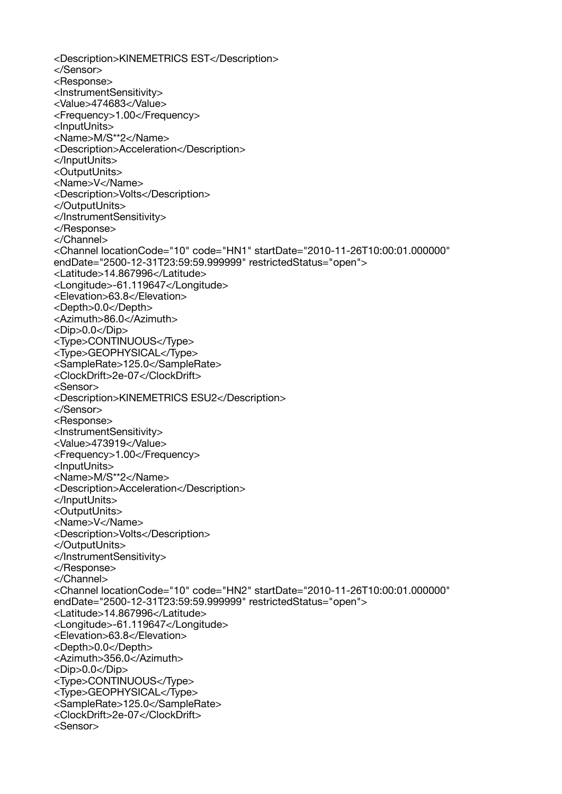<Description>KINEMETRICS EST</Description> </Sensor> <Response> <InstrumentSensitivity> <Value>474683</Value> <Frequency>1.00</Frequency> <InputUnits> <Name>M/S\*\*2</Name> <Description>Acceleration</Description> </InputUnits> <OutputUnits> <Name>V</Name> <Description>Volts</Description> </OutputUnits> </InstrumentSensitivity> </Response> </Channel> <Channel locationCode="10" code="HN1" startDate="2010-11-26T10:00:01.000000" endDate="2500-12-31T23:59:59.999999" restrictedStatus="open"> <Latitude>14.867996</Latitude> <Longitude>-61.119647</Longitude> <Elevation>63.8</Elevation> <Depth>0.0</Depth> <Azimuth>86.0</Azimuth>  $<$ Dip $>$ 0.0 $<$ /Dip $>$ <Type>CONTINUOUS</Type> <Type>GEOPHYSICAL</Type> <SampleRate>125.0</SampleRate> <ClockDrift>2e-07</ClockDrift> <Sensor> <Description>KINEMETRICS ESU2</Description> </Sensor> <Response> <InstrumentSensitivity> <Value>473919</Value> <Frequency>1.00</Frequency> <InputUnits> <Name>M/S\*\*2</Name> <Description>Acceleration</Description> </InputUnits> <OutputUnits> <Name>V</Name> <Description>Volts</Description> </OutputUnits> </InstrumentSensitivity> </Response> </Channel> <Channel locationCode="10" code="HN2" startDate="2010-11-26T10:00:01.000000" endDate="2500-12-31T23:59:59.999999" restrictedStatus="open"> <Latitude>14.867996</Latitude> <Longitude>-61.119647</Longitude> <Elevation>63.8</Elevation> <Depth>0.0</Depth> <Azimuth>356.0</Azimuth> <Dip>0.0</Dip> <Type>CONTINUOUS</Type> <Type>GEOPHYSICAL</Type> <SampleRate>125.0</SampleRate> <ClockDrift>2e-07</ClockDrift> <Sensor>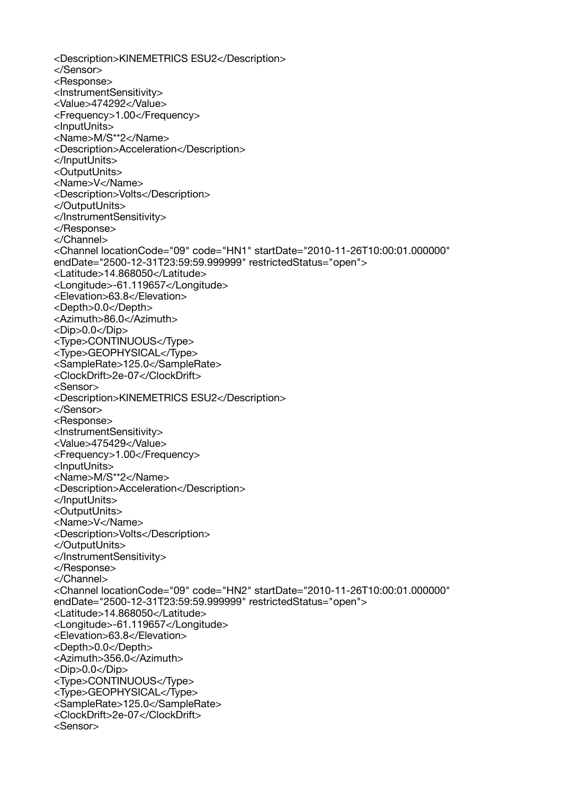<Description>KINEMETRICS ESU2</Description> </Sensor> <Response> <InstrumentSensitivity> <Value>474292</Value> <Frequency>1.00</Frequency> <InputUnits> <Name>M/S\*\*2</Name> <Description>Acceleration</Description> </InputUnits> <OutputUnits> <Name>V</Name> <Description>Volts</Description> </OutputUnits> </InstrumentSensitivity> </Response> </Channel> <Channel locationCode="09" code="HN1" startDate="2010-11-26T10:00:01.000000" endDate="2500-12-31T23:59:59.999999" restrictedStatus="open"> <Latitude>14.868050</Latitude> <Longitude>-61.119657</Longitude> <Elevation>63.8</Elevation> <Depth>0.0</Depth> <Azimuth>86.0</Azimuth>  $<$ Dip $>$ 0.0 $<$ /Dip $>$ <Type>CONTINUOUS</Type> <Type>GEOPHYSICAL</Type> <SampleRate>125.0</SampleRate> <ClockDrift>2e-07</ClockDrift> <Sensor> <Description>KINEMETRICS ESU2</Description> </Sensor> <Response> <InstrumentSensitivity> <Value>475429</Value> <Frequency>1.00</Frequency> <InputUnits> <Name>M/S\*\*2</Name> <Description>Acceleration</Description> </InputUnits> <OutputUnits> <Name>V</Name> <Description>Volts</Description> </OutputUnits> </InstrumentSensitivity> </Response> </Channel> <Channel locationCode="09" code="HN2" startDate="2010-11-26T10:00:01.000000" endDate="2500-12-31T23:59:59.999999" restrictedStatus="open"> <Latitude>14.868050</Latitude> <Longitude>-61.119657</Longitude> <Elevation>63.8</Elevation> <Depth>0.0</Depth> <Azimuth>356.0</Azimuth> <Dip>0.0</Dip> <Type>CONTINUOUS</Type> <Type>GEOPHYSICAL</Type> <SampleRate>125.0</SampleRate> <ClockDrift>2e-07</ClockDrift> <Sensor>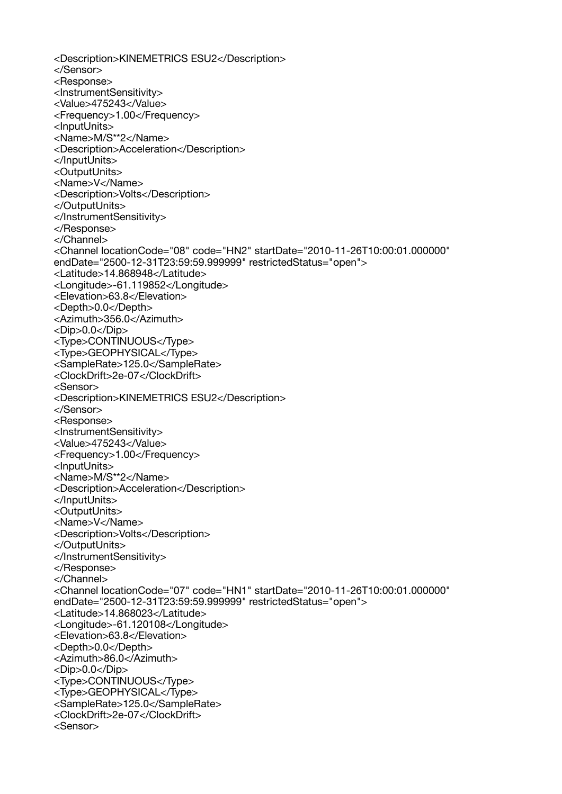<Description>KINEMETRICS ESU2</Description> </Sensor> <Response> <InstrumentSensitivity> <Value>475243</Value> <Frequency>1.00</Frequency> <InputUnits> <Name>M/S\*\*2</Name> <Description>Acceleration</Description> </InputUnits> <OutputUnits> <Name>V</Name> <Description>Volts</Description> </OutputUnits> </InstrumentSensitivity> </Response> </Channel> <Channel locationCode="08" code="HN2" startDate="2010-11-26T10:00:01.000000" endDate="2500-12-31T23:59:59.999999" restrictedStatus="open"> <Latitude>14.868948</Latitude> <Longitude>-61.119852</Longitude> <Elevation>63.8</Elevation> <Depth>0.0</Depth> <Azimuth>356.0</Azimuth> <Dip>0.0</Dip> <Type>CONTINUOUS</Type> <Type>GEOPHYSICAL</Type> <SampleRate>125.0</SampleRate> <ClockDrift>2e-07</ClockDrift> <Sensor> <Description>KINEMETRICS ESU2</Description> </Sensor> <Response> <InstrumentSensitivity> <Value>475243</Value> <Frequency>1.00</Frequency> <InputUnits> <Name>M/S\*\*2</Name> <Description>Acceleration</Description> </InputUnits> <OutputUnits> <Name>V</Name> <Description>Volts</Description> </OutputUnits> </InstrumentSensitivity> </Response> </Channel> <Channel locationCode="07" code="HN1" startDate="2010-11-26T10:00:01.000000" endDate="2500-12-31T23:59:59.999999" restrictedStatus="open"> <Latitude>14.868023</Latitude> <Longitude>-61.120108</Longitude> <Elevation>63.8</Elevation> <Depth>0.0</Depth> <Azimuth>86.0</Azimuth> <Dip>0.0</Dip> <Type>CONTINUOUS</Type> <Type>GEOPHYSICAL</Type> <SampleRate>125.0</SampleRate> <ClockDrift>2e-07</ClockDrift> <Sensor>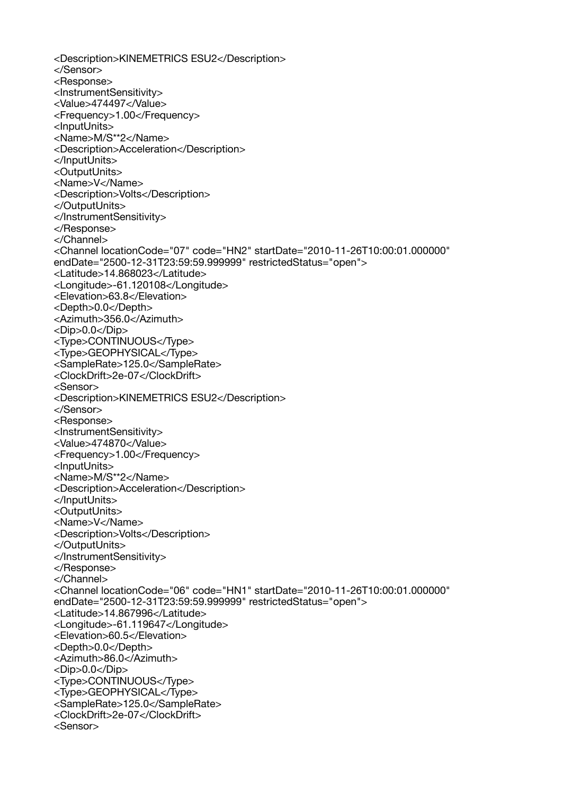<Description>KINEMETRICS ESU2</Description> </Sensor> <Response> <InstrumentSensitivity> <Value>474497</Value> <Frequency>1.00</Frequency> <InputUnits> <Name>M/S\*\*2</Name> <Description>Acceleration</Description> </InputUnits> <OutputUnits> <Name>V</Name> <Description>Volts</Description> </OutputUnits> </InstrumentSensitivity> </Response> </Channel> <Channel locationCode="07" code="HN2" startDate="2010-11-26T10:00:01.000000" endDate="2500-12-31T23:59:59.999999" restrictedStatus="open"> <Latitude>14.868023</Latitude> <Longitude>-61.120108</Longitude> <Elevation>63.8</Elevation> <Depth>0.0</Depth> <Azimuth>356.0</Azimuth> <Dip>0.0</Dip> <Type>CONTINUOUS</Type> <Type>GEOPHYSICAL</Type> <SampleRate>125.0</SampleRate> <ClockDrift>2e-07</ClockDrift> <Sensor> <Description>KINEMETRICS ESU2</Description> </Sensor> <Response> <InstrumentSensitivity> <Value>474870</Value> <Frequency>1.00</Frequency> <InputUnits> <Name>M/S\*\*2</Name> <Description>Acceleration</Description> </InputUnits> <OutputUnits> <Name>V</Name> <Description>Volts</Description> </OutputUnits> </InstrumentSensitivity> </Response> </Channel> <Channel locationCode="06" code="HN1" startDate="2010-11-26T10:00:01.000000" endDate="2500-12-31T23:59:59.999999" restrictedStatus="open"> <Latitude>14.867996</Latitude> <Longitude>-61.119647</Longitude> <Elevation>60.5</Elevation> <Depth>0.0</Depth> <Azimuth>86.0</Azimuth> <Dip>0.0</Dip> <Type>CONTINUOUS</Type> <Type>GEOPHYSICAL</Type> <SampleRate>125.0</SampleRate> <ClockDrift>2e-07</ClockDrift> <Sensor>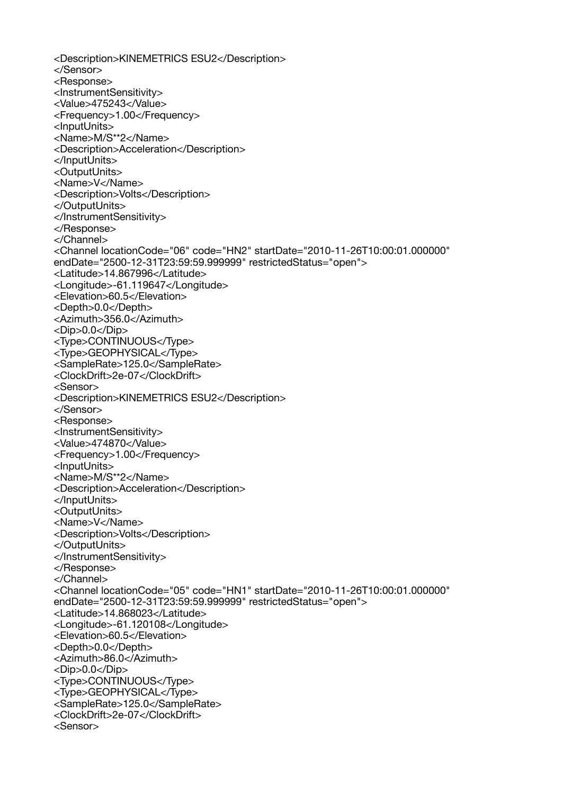<Description>KINEMETRICS ESU2</Description> </Sensor> <Response> <InstrumentSensitivity> <Value>475243</Value> <Frequency>1.00</Frequency> <InputUnits> <Name>M/S\*\*2</Name> <Description>Acceleration</Description> </InputUnits> <OutputUnits> <Name>V</Name> <Description>Volts</Description> </OutputUnits> </InstrumentSensitivity> </Response> </Channel> <Channel locationCode="06" code="HN2" startDate="2010-11-26T10:00:01.000000" endDate="2500-12-31T23:59:59.999999" restrictedStatus="open"> <Latitude>14.867996</Latitude> <Longitude>-61.119647</Longitude> <Elevation>60.5</Elevation> <Depth>0.0</Depth> <Azimuth>356.0</Azimuth> <Dip>0.0</Dip> <Type>CONTINUOUS</Type> <Type>GEOPHYSICAL</Type> <SampleRate>125.0</SampleRate> <ClockDrift>2e-07</ClockDrift> <Sensor> <Description>KINEMETRICS ESU2</Description> </Sensor> <Response> <InstrumentSensitivity> <Value>474870</Value> <Frequency>1.00</Frequency> <InputUnits> <Name>M/S\*\*2</Name> <Description>Acceleration</Description> </InputUnits> <OutputUnits> <Name>V</Name> <Description>Volts</Description> </OutputUnits> </InstrumentSensitivity> </Response> </Channel> <Channel locationCode="05" code="HN1" startDate="2010-11-26T10:00:01.000000" endDate="2500-12-31T23:59:59.999999" restrictedStatus="open"> <Latitude>14.868023</Latitude> <Longitude>-61.120108</Longitude> <Elevation>60.5</Elevation> <Depth>0.0</Depth> <Azimuth>86.0</Azimuth> <Dip>0.0</Dip> <Type>CONTINUOUS</Type> <Type>GEOPHYSICAL</Type> <SampleRate>125.0</SampleRate> <ClockDrift>2e-07</ClockDrift> <Sensor>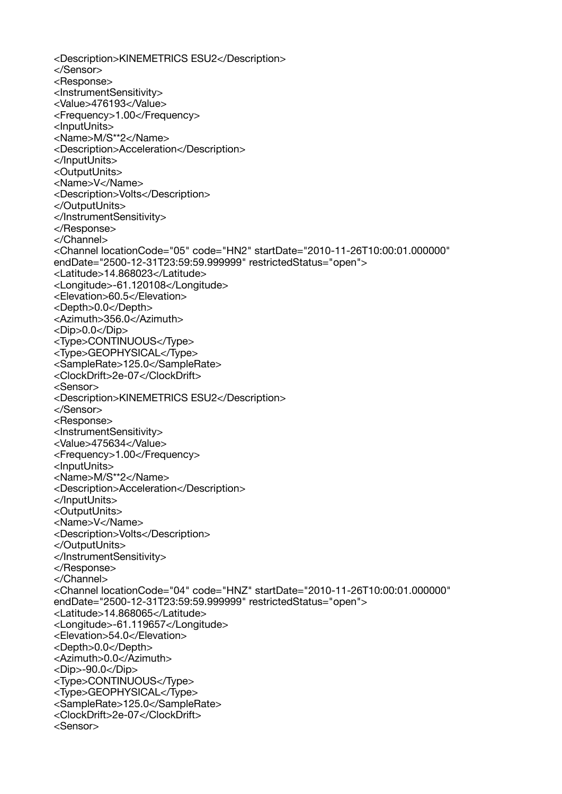<Description>KINEMETRICS ESU2</Description> </Sensor> <Response> <InstrumentSensitivity> <Value>476193</Value> <Frequency>1.00</Frequency> <InputUnits> <Name>M/S\*\*2</Name> <Description>Acceleration</Description> </InputUnits> <OutputUnits> <Name>V</Name> <Description>Volts</Description> </OutputUnits> </InstrumentSensitivity> </Response> </Channel> <Channel locationCode="05" code="HN2" startDate="2010-11-26T10:00:01.000000" endDate="2500-12-31T23:59:59.999999" restrictedStatus="open"> <Latitude>14.868023</Latitude> <Longitude>-61.120108</Longitude> <Elevation>60.5</Elevation> <Depth>0.0</Depth> <Azimuth>356.0</Azimuth> <Dip>0.0</Dip> <Type>CONTINUOUS</Type> <Type>GEOPHYSICAL</Type> <SampleRate>125.0</SampleRate> <ClockDrift>2e-07</ClockDrift> <Sensor> <Description>KINEMETRICS ESU2</Description> </Sensor> <Response> <InstrumentSensitivity> <Value>475634</Value> <Frequency>1.00</Frequency> <InputUnits> <Name>M/S\*\*2</Name> <Description>Acceleration</Description> </InputUnits> <OutputUnits> <Name>V</Name> <Description>Volts</Description> </OutputUnits> </InstrumentSensitivity> </Response> </Channel> <Channel locationCode="04" code="HNZ" startDate="2010-11-26T10:00:01.000000" endDate="2500-12-31T23:59:59.999999" restrictedStatus="open"> <Latitude>14.868065</Latitude> <Longitude>-61.119657</Longitude> <Elevation>54.0</Elevation> <Depth>0.0</Depth> <Azimuth>0.0</Azimuth> <Dip>-90.0</Dip> <Type>CONTINUOUS</Type> <Type>GEOPHYSICAL</Type> <SampleRate>125.0</SampleRate> <ClockDrift>2e-07</ClockDrift> <Sensor>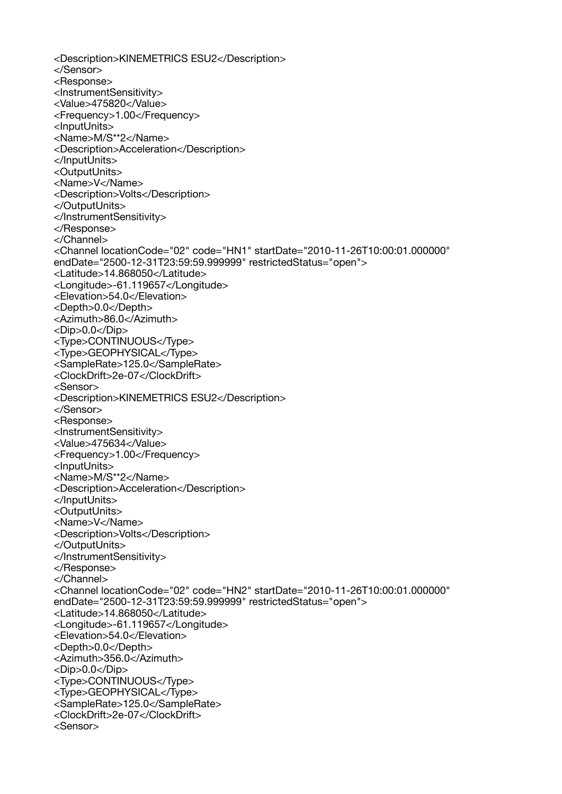<Description>KINEMETRICS ESU2</Description> </Sensor> <Response> <InstrumentSensitivity> <Value>475820</Value> <Frequency>1.00</Frequency> <InputUnits> <Name>M/S\*\*2</Name> <Description>Acceleration</Description> </InputUnits> <OutputUnits> <Name>V</Name> <Description>Volts</Description> </OutputUnits> </InstrumentSensitivity> </Response> </Channel> <Channel locationCode="02" code="HN1" startDate="2010-11-26T10:00:01.000000" endDate="2500-12-31T23:59:59.999999" restrictedStatus="open"> <Latitude>14.868050</Latitude> <Longitude>-61.119657</Longitude> <Elevation>54.0</Elevation> <Depth>0.0</Depth> <Azimuth>86.0</Azimuth>  $<$ Dip $>$ 0.0 $<$ /Dip $>$ <Type>CONTINUOUS</Type> <Type>GEOPHYSICAL</Type> <SampleRate>125.0</SampleRate> <ClockDrift>2e-07</ClockDrift> <Sensor> <Description>KINEMETRICS ESU2</Description> </Sensor> <Response> <InstrumentSensitivity> <Value>475634</Value> <Frequency>1.00</Frequency> <InputUnits> <Name>M/S\*\*2</Name> <Description>Acceleration</Description> </InputUnits> <OutputUnits> <Name>V</Name> <Description>Volts</Description> </OutputUnits> </InstrumentSensitivity> </Response> </Channel> <Channel locationCode="02" code="HN2" startDate="2010-11-26T10:00:01.000000" endDate="2500-12-31T23:59:59.999999" restrictedStatus="open"> <Latitude>14.868050</Latitude> <Longitude>-61.119657</Longitude> <Elevation>54.0</Elevation> <Depth>0.0</Depth> <Azimuth>356.0</Azimuth> <Dip>0.0</Dip> <Type>CONTINUOUS</Type> <Type>GEOPHYSICAL</Type> <SampleRate>125.0</SampleRate> <ClockDrift>2e-07</ClockDrift> <Sensor>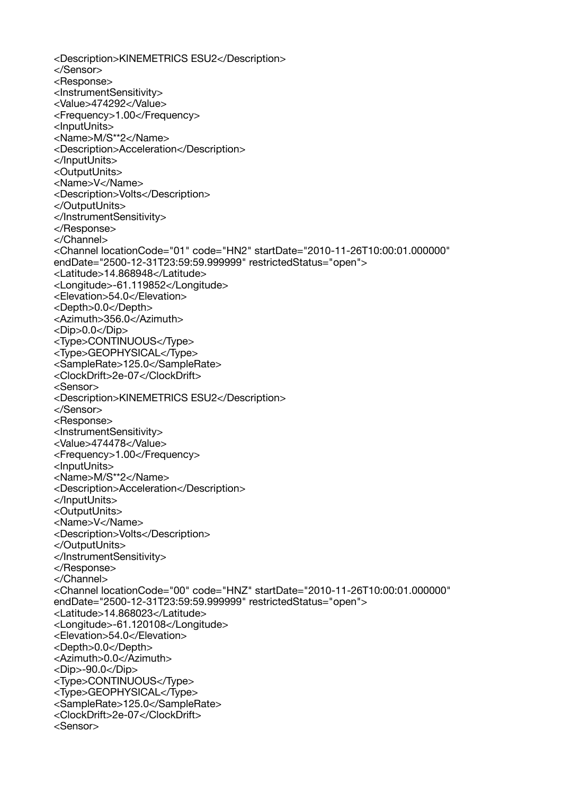<Description>KINEMETRICS ESU2</Description> </Sensor> <Response> <InstrumentSensitivity> <Value>474292</Value> <Frequency>1.00</Frequency> <InputUnits> <Name>M/S\*\*2</Name> <Description>Acceleration</Description> </InputUnits> <OutputUnits> <Name>V</Name> <Description>Volts</Description> </OutputUnits> </InstrumentSensitivity> </Response> </Channel> <Channel locationCode="01" code="HN2" startDate="2010-11-26T10:00:01.000000" endDate="2500-12-31T23:59:59.999999" restrictedStatus="open"> <Latitude>14.868948</Latitude> <Longitude>-61.119852</Longitude> <Elevation>54.0</Elevation> <Depth>0.0</Depth> <Azimuth>356.0</Azimuth> <Dip>0.0</Dip> <Type>CONTINUOUS</Type> <Type>GEOPHYSICAL</Type> <SampleRate>125.0</SampleRate> <ClockDrift>2e-07</ClockDrift> <Sensor> <Description>KINEMETRICS ESU2</Description> </Sensor> <Response> <InstrumentSensitivity> <Value>474478</Value> <Frequency>1.00</Frequency> <InputUnits> <Name>M/S\*\*2</Name> <Description>Acceleration</Description> </InputUnits> <OutputUnits> <Name>V</Name> <Description>Volts</Description> </OutputUnits> </InstrumentSensitivity> </Response> </Channel> <Channel locationCode="00" code="HNZ" startDate="2010-11-26T10:00:01.000000" endDate="2500-12-31T23:59:59.999999" restrictedStatus="open"> <Latitude>14.868023</Latitude> <Longitude>-61.120108</Longitude> <Elevation>54.0</Elevation> <Depth>0.0</Depth> <Azimuth>0.0</Azimuth> <Dip>-90.0</Dip> <Type>CONTINUOUS</Type> <Type>GEOPHYSICAL</Type> <SampleRate>125.0</SampleRate> <ClockDrift>2e-07</ClockDrift> <Sensor>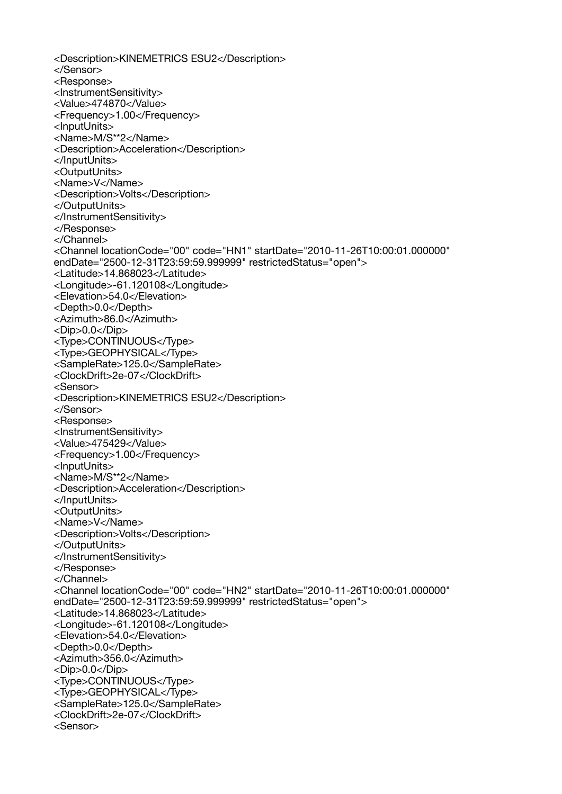<Description>KINEMETRICS ESU2</Description> </Sensor> <Response> <InstrumentSensitivity> <Value>474870</Value> <Frequency>1.00</Frequency> <InputUnits> <Name>M/S\*\*2</Name> <Description>Acceleration</Description> </InputUnits> <OutputUnits> <Name>V</Name> <Description>Volts</Description> </OutputUnits> </InstrumentSensitivity> </Response> </Channel> <Channel locationCode="00" code="HN1" startDate="2010-11-26T10:00:01.000000" endDate="2500-12-31T23:59:59.999999" restrictedStatus="open"> <Latitude>14.868023</Latitude> <Longitude>-61.120108</Longitude> <Elevation>54.0</Elevation> <Depth>0.0</Depth> <Azimuth>86.0</Azimuth>  $<$ Dip $>$ 0.0 $<$ /Dip $>$ <Type>CONTINUOUS</Type> <Type>GEOPHYSICAL</Type> <SampleRate>125.0</SampleRate> <ClockDrift>2e-07</ClockDrift> <Sensor> <Description>KINEMETRICS ESU2</Description> </Sensor> <Response> <InstrumentSensitivity> <Value>475429</Value> <Frequency>1.00</Frequency> <InputUnits> <Name>M/S\*\*2</Name> <Description>Acceleration</Description> </InputUnits> <OutputUnits> <Name>V</Name> <Description>Volts</Description> </OutputUnits> </InstrumentSensitivity> </Response> </Channel> <Channel locationCode="00" code="HN2" startDate="2010-11-26T10:00:01.000000" endDate="2500-12-31T23:59:59.999999" restrictedStatus="open"> <Latitude>14.868023</Latitude> <Longitude>-61.120108</Longitude> <Elevation>54.0</Elevation> <Depth>0.0</Depth> <Azimuth>356.0</Azimuth> <Dip>0.0</Dip> <Type>CONTINUOUS</Type> <Type>GEOPHYSICAL</Type> <SampleRate>125.0</SampleRate> <ClockDrift>2e-07</ClockDrift> <Sensor>